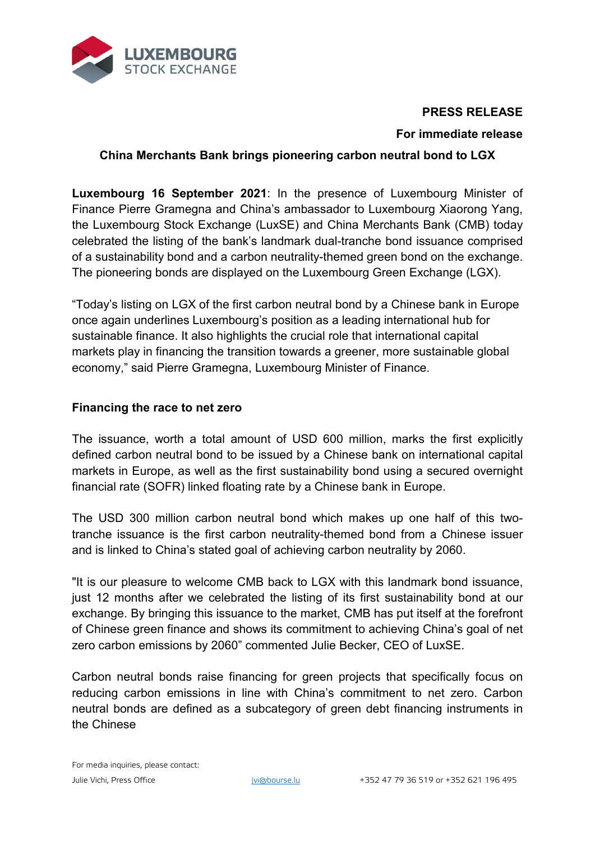

# **PRESS RELEASE**

## **For immediate release**

# **China Merchants Bank brings pioneering carbon neutral bond to LGX**

**Luxembourg 16 September 2021**: In the presence of Luxembourg Minister of Finance Pierre Gramegna and China's ambassador to Luxembourg Xiaorong Yang, the Luxembourg Stock Exchange (LuxSE) and China Merchants Bank (CMB) today celebrated the listing of the bank's landmark dual-tranche bond issuance comprised of a sustainability bond and a carbon neutrality-themed green bond on the exchange. The pioneering bonds are displayed on the Luxembourg Green Exchange (LGX).

"Today's listing on LGX of the first carbon neutral bond by a Chinese bank in Europe once again underlines Luxembourg's position as a leading international hub for sustainable finance. It also highlights the crucial role that international capital markets play in financing the transition towards a greener, more sustainable global economy," said Pierre Gramegna, Luxembourg Minister of Finance.

### **Financing the race to net zero**

The issuance, worth a total amount of USD 600 million, marks the first explicitly defined carbon neutral bond to be issued by a Chinese bank on international capital markets in Europe, as well as the first sustainability bond using a secured overnight financial rate (SOFR) linked floating rate by a Chinese bank in Europe.

The USD 300 million carbon neutral bond which makes up one half of this twotranche issuance is the first carbon neutrality-themed bond from a Chinese issuer and is linked to China's stated goal of achieving carbon neutrality by 2060.

"It is our pleasure to welcome CMB back to LGX with this landmark bond issuance, just 12 months after we celebrated the listing of its first sustainability bond at our exchange. By bringing this issuance to the market, CMB has put itself at the forefront of Chinese green finance and shows its commitment to achieving China's goal of net zero carbon emissions by 2060" commented Julie Becker, CEO of LuxSE.

Carbon neutral bonds raise financing for green projects that specifically focus on reducing carbon emissions in line with China's commitment to net zero. Carbon neutral bonds are defined as a subcategory of green debt financing instruments in the Chinese